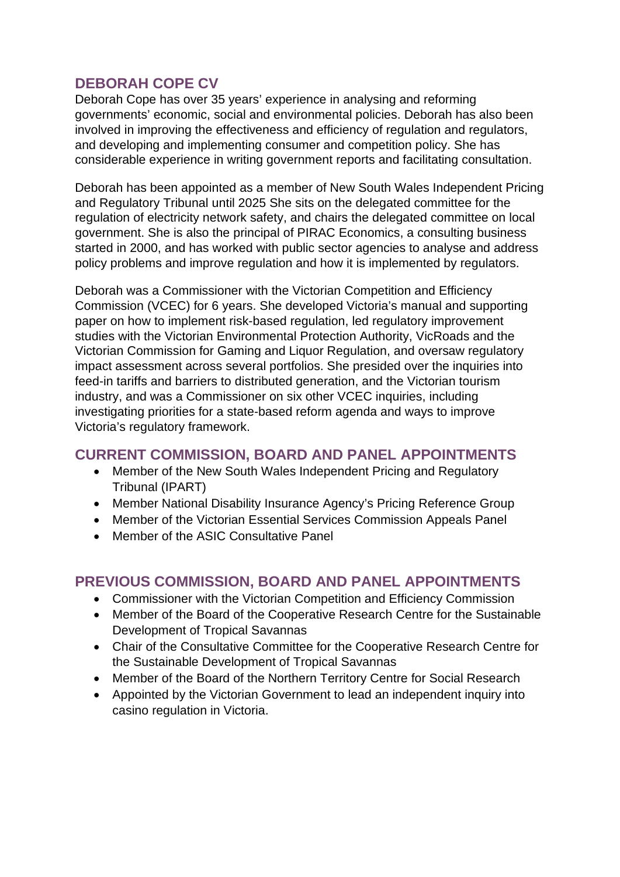# **DEBORAH COPE CV**

Deborah Cope has over 35 years' experience in analysing and reforming governments' economic, social and environmental policies. Deborah has also been involved in improving the effectiveness and efficiency of regulation and regulators, and developing and implementing consumer and competition policy. She has considerable experience in writing government reports and facilitating consultation.

Deborah has been appointed as a member of New South Wales Independent Pricing and Regulatory Tribunal until 2025 She sits on the delegated committee for the regulation of electricity network safety, and chairs the delegated committee on local government. She is also the principal of PIRAC Economics, a consulting business started in 2000, and has worked with public sector agencies to analyse and address policy problems and improve regulation and how it is implemented by regulators.

Deborah was a Commissioner with the Victorian Competition and Efficiency Commission (VCEC) for 6 years. She developed Victoria's manual and supporting paper on how to implement risk-based regulation, led regulatory improvement studies with the Victorian Environmental Protection Authority, VicRoads and the Victorian Commission for Gaming and Liquor Regulation, and oversaw regulatory impact assessment across several portfolios. She presided over the inquiries into feed-in tariffs and barriers to distributed generation, and the Victorian tourism industry, and was a Commissioner on six other VCEC inquiries, including investigating priorities for a state-based reform agenda and ways to improve Victoria's regulatory framework.

### **CURRENT COMMISSION, BOARD AND PANEL APPOINTMENTS**

- Member of the New South Wales Independent Pricing and Regulatory Tribunal (IPART)
- Member National Disability Insurance Agency's Pricing Reference Group
- Member of the Victorian Essential Services Commission Appeals Panel
- Member of the ASIC Consultative Panel

## **PREVIOUS COMMISSION, BOARD AND PANEL APPOINTMENTS**

- Commissioner with the Victorian Competition and Efficiency Commission
- Member of the Board of the Cooperative Research Centre for the Sustainable Development of Tropical Savannas
- Chair of the Consultative Committee for the Cooperative Research Centre for the Sustainable Development of Tropical Savannas
- Member of the Board of the Northern Territory Centre for Social Research
- Appointed by the Victorian Government to lead an independent inquiry into casino regulation in Victoria.